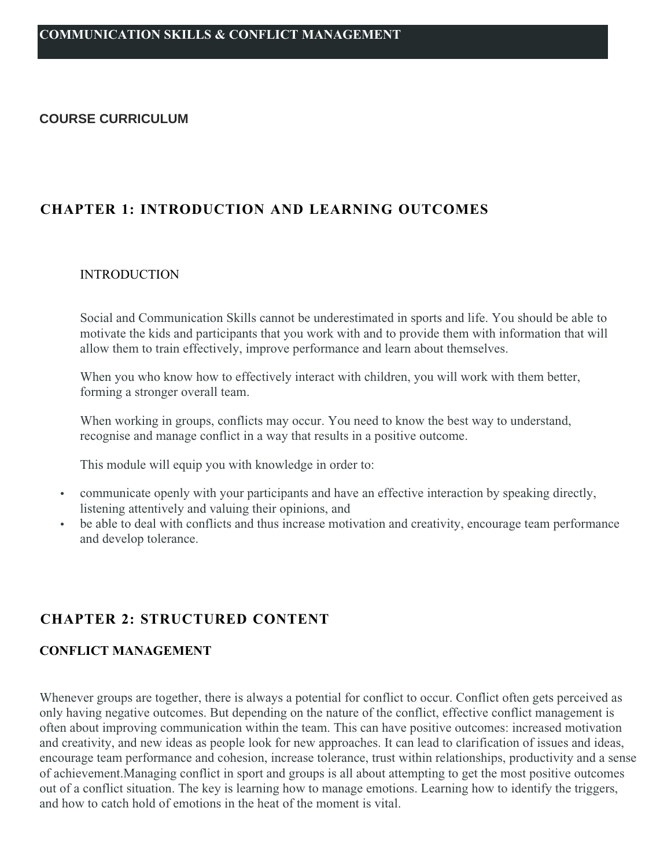#### **COURSE CURRICULUM**

# **CHAPTER 1: INTRODUCTION AND LEARNING OUTCOMES**

#### INTRODUCTION

Social and Communication Skills cannot be underestimated in sports and life. You should be able to motivate the kids and participants that you work with and to provide them with information that will allow them to train effectively, improve performance and learn about themselves.

When you who know how to effectively interact with children, you will work with them better, forming a stronger overall team.

When working in groups, conflicts may occur. You need to know the best way to understand, recognise and manage conflict in a way that results in a positive outcome.

This module will equip you with knowledge in order to:

- communicate openly with your participants and have an effective interaction by speaking directly, listening attentively and valuing their opinions, and
- be able to deal with conflicts and thus increase motivation and creativity, encourage team performance and develop tolerance.

# **CHAPTER 2: STRUCTURED CONTENT**

#### **CONFLICT MANAGEMENT**

Whenever groups are together, there is always a potential for conflict to occur. Conflict often gets perceived as only having negative outcomes. But depending on the nature of the conflict, effective conflict management is often about improving communication within the team. This can have positive outcomes: increased motivation and creativity, and new ideas as people look for new approaches. It can lead to clarification of issues and ideas, encourage team performance and cohesion, increase tolerance, trust within relationships, productivity and a sense of achievement.Managing conflict in sport and groups is all about attempting to get the most positive outcomes out of a conflict situation. The key is learning how to manage emotions. Learning how to identify the triggers, and how to catch hold of emotions in the heat of the moment is vital.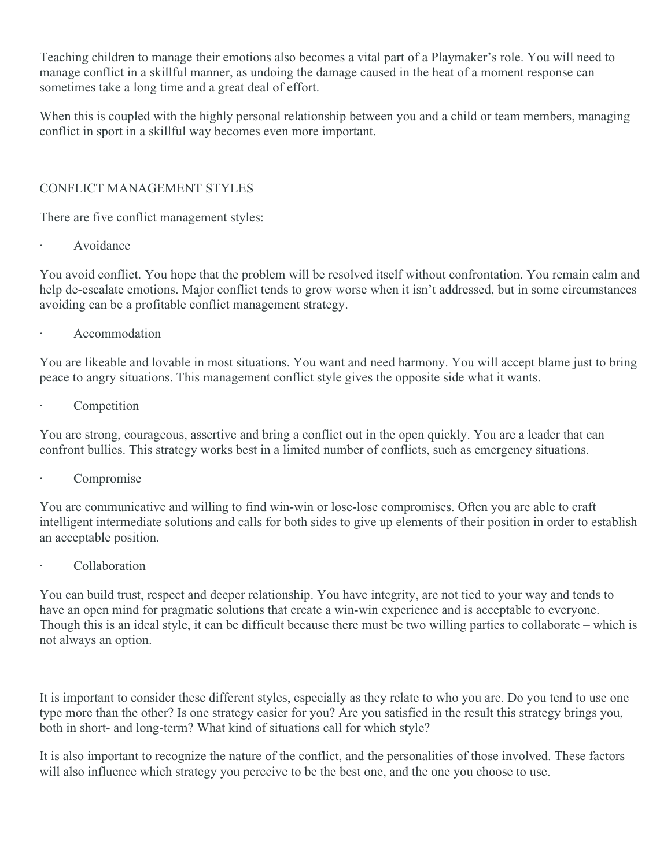Teaching children to manage their emotions also becomes a vital part of a Playmaker's role. You will need to manage conflict in a skillful manner, as undoing the damage caused in the heat of a moment response can sometimes take a long time and a great deal of effort.

When this is coupled with the highly personal relationship between you and a child or team members, managing conflict in sport in a skillful way becomes even more important.

## CONFLICT MANAGEMENT STYLES

There are five conflict management styles:

Avoidance

You avoid conflict. You hope that the problem will be resolved itself without confrontation. You remain calm and help de-escalate emotions. Major conflict tends to grow worse when it isn't addressed, but in some circumstances avoiding can be a profitable conflict management strategy.

· Accommodation

You are likeable and lovable in most situations. You want and need harmony. You will accept blame just to bring peace to angry situations. This management conflict style gives the opposite side what it wants.

**Competition** 

You are strong, courageous, assertive and bring a conflict out in the open quickly. You are a leader that can confront bullies. This strategy works best in a limited number of conflicts, such as emergency situations.

Compromise

You are communicative and willing to find win-win or lose-lose compromises. Often you are able to craft intelligent intermediate solutions and calls for both sides to give up elements of their position in order to establish an acceptable position.

**Collaboration** 

You can build trust, respect and deeper relationship. You have integrity, are not tied to your way and tends to have an open mind for pragmatic solutions that create a win-win experience and is acceptable to everyone. Though this is an ideal style, it can be difficult because there must be two willing parties to collaborate – which is not always an option.

It is important to consider these different styles, especially as they relate to who you are. Do you tend to use one type more than the other? Is one strategy easier for you? Are you satisfied in the result this strategy brings you, both in short- and long-term? What kind of situations call for which style?

It is also important to recognize the nature of the conflict, and the personalities of those involved. These factors will also influence which strategy you perceive to be the best one, and the one you choose to use.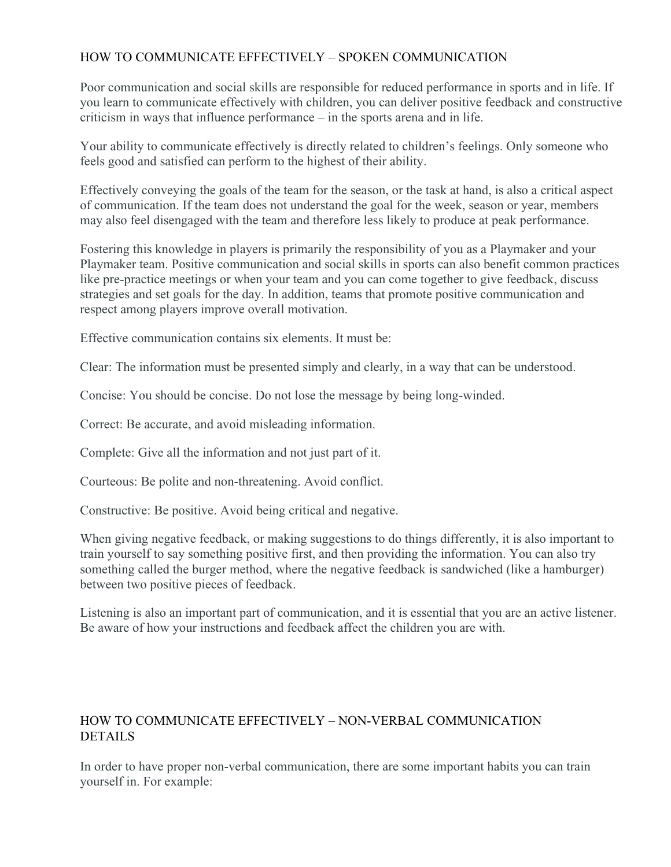### HOW TO COMMUNICATE EFFECTIVELY – SPOKEN COMMUNICATION

Poor communication and social skills are responsible for reduced performance in sports and in life. If you learn to communicate effectively with children, you can deliver positive feedback and constructive criticism in ways that influence performance – in the sports arena and in life.

Your ability to communicate effectively is directly related to children's feelings. Only someone who feels good and satisfied can perform to the highest of their ability.

Effectively conveying the goals of the team for the season, or the task at hand, is also a critical aspect of communication. If the team does not understand the goal for the week, season or year, members may also feel disengaged with the team and therefore less likely to produce at peak performance.

Fostering this knowledge in players is primarily the responsibility of you as a Playmaker and your Playmaker team. Positive communication and social skills in sports can also benefit common practices like pre-practice meetings or when your team and you can come together to give feedback, discuss strategies and set goals for the day. In addition, teams that promote positive communication and respect among players improve overall motivation.

Effective communication contains six elements. It must be:

Clear: The information must be presented simply and clearly, in a way that can be understood.

Concise: You should be concise. Do not lose the message by being long-winded.

Correct: Be accurate, and avoid misleading information.

Complete: Give all the information and not just part of it.

Courteous: Be polite and non-threatening. Avoid conflict.

Constructive: Be positive. Avoid being critical and negative.

When giving negative feedback, or making suggestions to do things differently, it is also important to train yourself to say something positive first, and then providing the information. You can also try something called the burger method, where the negative feedback is sandwiched (like a hamburger) between two positive pieces of feedback.

Listening is also an important part of communication, and it is essential that you are an active listener. Be aware of how your instructions and feedback affect the children you are with.

### HOW TO COMMUNICATE EFFECTIVELY – NON-VERBAL COMMUNICATION DETAILS

In order to have proper non-verbal communication, there are some important habits you can train yourself in. For example: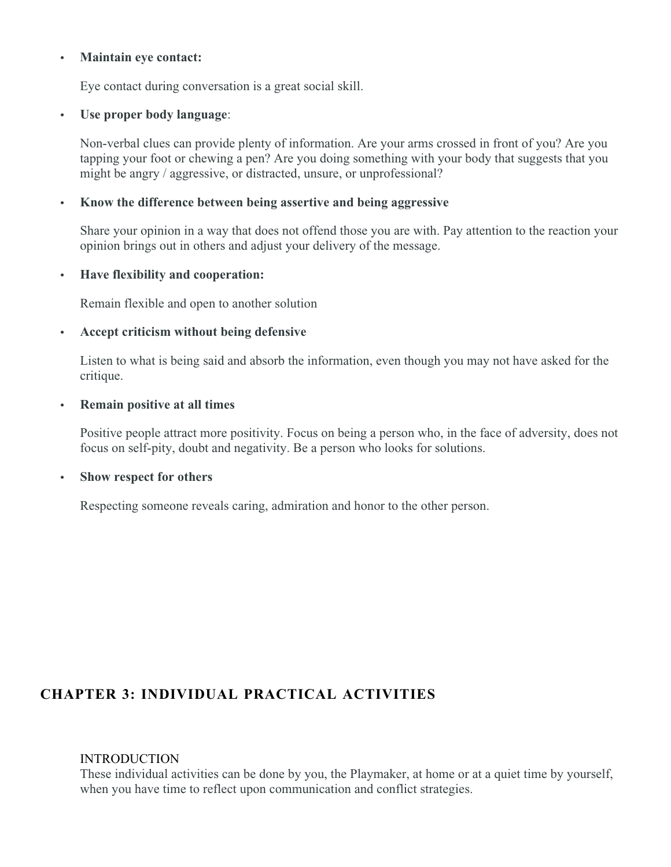#### **Maintain eye contact:**

Eye contact during conversation is a great social skill.

#### **Use proper body language**:

Non-verbal clues can provide plenty of information. Are your arms crossed in front of you? Are you tapping your foot or chewing a pen? Are you doing something with your body that suggests that you might be angry / aggressive, or distracted, unsure, or unprofessional?

#### **Know the difference between being assertive and being aggressive**

Share your opinion in a way that does not offend those you are with. Pay attention to the reaction your opinion brings out in others and adjust your delivery of the message.

#### **Have flexibility and cooperation:**

Remain flexible and open to another solution

#### **Accept criticism without being defensive**

Listen to what is being said and absorb the information, even though you may not have asked for the critique.

#### **Remain positive at all times**

Positive people attract more positivity. Focus on being a person who, in the face of adversity, does not focus on self-pity, doubt and negativity. Be a person who looks for solutions.

#### **Show respect for others**

Respecting someone reveals caring, admiration and honor to the other person.

# **CHAPTER 3: INDIVIDUAL PRACTICAL ACTIVITIES**

#### **INTRODUCTION**

These individual activities can be done by you, the Playmaker, at home or at a quiet time by yourself, when you have time to reflect upon communication and conflict strategies.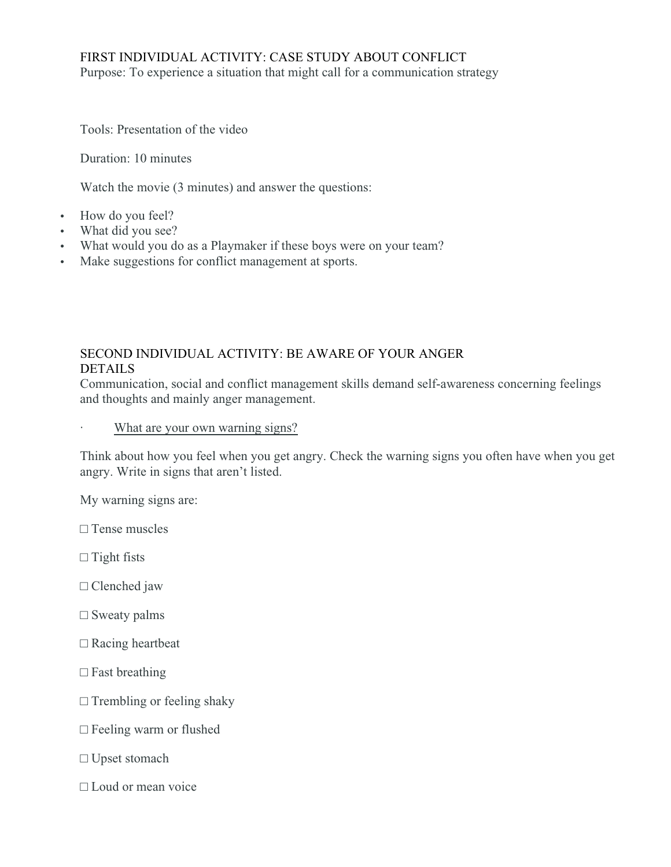#### FIRST INDIVIDUAL ACTIVITY: CASE STUDY ABOUT CONFLICT Purpose: To experience a situation that might call for a communication strategy

Tools: Presentation of the video

Duration: 10 minutes

Watch the movie (3 minutes) and answer the questions:

- How do you feel?
- What did you see?
- What would you do as a Playmaker if these boys were on your team?
- Make suggestions for conflict management at sports.

## SECOND INDIVIDUAL ACTIVITY: BE AWARE OF YOUR ANGER **DETAILS**

Communication, social and conflict management skills demand self-awareness concerning feelings and thoughts and mainly anger management.

#### What are your own warning signs?

Think about how you feel when you get angry. Check the warning signs you often have when you get angry. Write in signs that aren't listed.

My warning signs are:

□ Tense muscles

 $\Box$  Tight fists

- □ Clenched jaw
- $\square$  Sweaty palms
- □ Racing heartbeat
- $\square$  Fast breathing
- $\Box$  Trembling or feeling shaky
- □ Feeling warm or flushed
- □ Upset stomach
- □ Loud or mean voice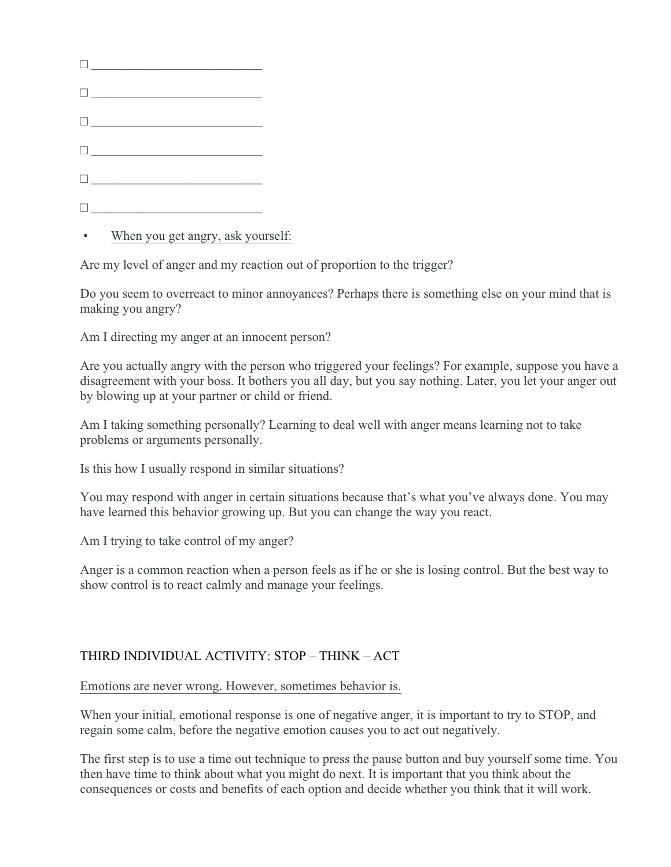| $\begin{tabular}{ c c c c } \hline \quad \quad & \quad \quad & \quad \quad & \quad \quad \\ \hline \end{tabular}$ |
|-------------------------------------------------------------------------------------------------------------------|
|                                                                                                                   |
|                                                                                                                   |
| $\begin{tabular}{ c c c c } \hline \quad \quad & \quad \quad & \quad \quad & \quad \quad \\ \hline \end{tabular}$ |
|                                                                                                                   |

When you get angry, ask yourself:

Are my level of anger and my reaction out of proportion to the trigger?

Do you seem to overreact to minor annoyances? Perhaps there is something else on your mind that is making you angry?

Am I directing my anger at an innocent person?

Are you actually angry with the person who triggered your feelings? For example, suppose you have a disagreement with your boss. It bothers you all day, but you say nothing. Later, you let your anger out by blowing up at your partner or child or friend.

Am I taking something personally? Learning to deal well with anger means learning not to take problems or arguments personally.

Is this how I usually respond in similar situations?

You may respond with anger in certain situations because that's what you've always done. You may have learned this behavior growing up. But you can change the way you react.

Am I trying to take control of my anger?

Anger is a common reaction when a person feels as if he or she is losing control. But the best way to show control is to react calmly and manage your feelings.

# THIRD INDIVIDUAL ACTIVITY: STOP – THINK – ACT

Emotions are never wrong. However, sometimes behavior is.

When your initial, emotional response is one of negative anger, it is important to try to STOP, and regain some calm, before the negative emotion causes you to act out negatively.

The first step is to use a time out technique to press the pause button and buy yourself some time. You then have time to think about what you might do next. It is important that you think about the consequences or costs and benefits of each option and decide whether you think that it will work.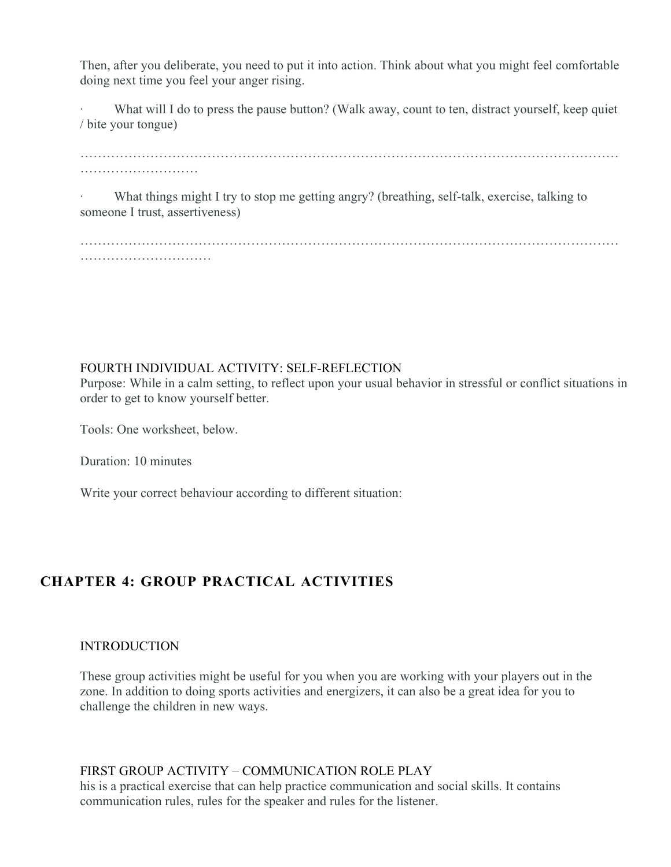Then, after you deliberate, you need to put it into action. Think about what you might feel comfortable doing next time you feel your anger rising.

What will I do to press the pause button? (Walk away, count to ten, distract yourself, keep quiet / bite your tongue)

………………………

What things might I try to stop me getting angry? (breathing, self-talk, exercise, talking to someone I trust, assertiveness)

…………………………………………………………………………………………………………… …………………………

### FOURTH INDIVIDUAL ACTIVITY: SELF-REFLECTION

Purpose: While in a calm setting, to reflect upon your usual behavior in stressful or conflict situations in order to get to know yourself better.

Tools: One worksheet, below.

Duration: 10 minutes

Write your correct behaviour according to different situation:

# **CHAPTER 4: GROUP PRACTICAL ACTIVITIES**

#### INTRODUCTION

These group activities might be useful for you when you are working with your players out in the zone. In addition to doing sports activities and energizers, it can also be a great idea for you to challenge the children in new ways.

#### FIRST GROUP ACTIVITY – COMMUNICATION ROLE PLAY

his is a practical exercise that can help practice communication and social skills. It contains communication rules, rules for the speaker and rules for the listener.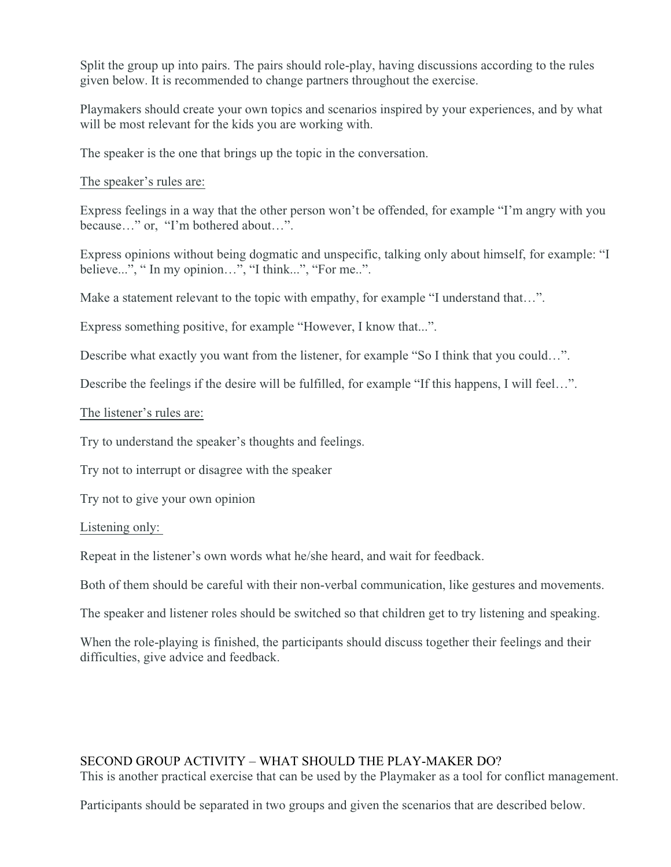Split the group up into pairs. The pairs should role-play, having discussions according to the rules given below. It is recommended to change partners throughout the exercise.

Playmakers should create your own topics and scenarios inspired by your experiences, and by what will be most relevant for the kids you are working with.

The speaker is the one that brings up the topic in the conversation.

The speaker's rules are:

Express feelings in a way that the other person won't be offended, for example "I'm angry with you because…" or, "I'm bothered about…".

Express opinions without being dogmatic and unspecific, talking only about himself, for example: "I believe...", "In my opinion...", "I think...", "For me..".

Make a statement relevant to the topic with empathy, for example "I understand that...".

Express something positive, for example "However, I know that...".

Describe what exactly you want from the listener, for example "So I think that you could...".

Describe the feelings if the desire will be fulfilled, for example "If this happens, I will feel...".

#### The listener's rules are:

Try to understand the speaker's thoughts and feelings.

Try not to interrupt or disagree with the speaker

Try not to give your own opinion

#### Listening only:

Repeat in the listener's own words what he/she heard, and wait for feedback.

Both of them should be careful with their non-verbal communication, like gestures and movements.

The speaker and listener roles should be switched so that children get to try listening and speaking.

When the role-playing is finished, the participants should discuss together their feelings and their difficulties, give advice and feedback.

#### SECOND GROUP ACTIVITY – WHAT SHOULD THE PLAY-MAKER DO?

This is another practical exercise that can be used by the Playmaker as a tool for conflict management.

Participants should be separated in two groups and given the scenarios that are described below.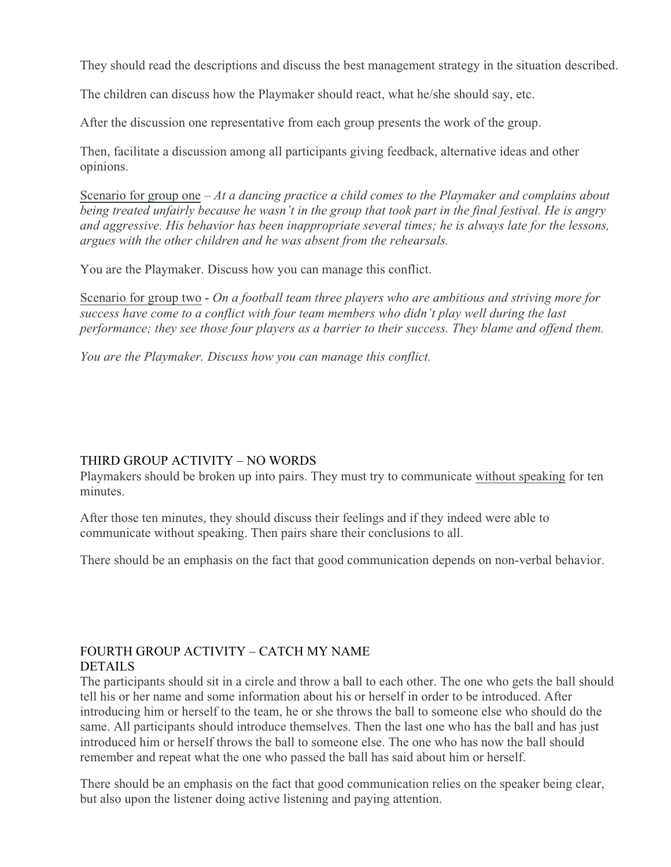They should read the descriptions and discuss the best management strategy in the situation described.

The children can discuss how the Playmaker should react, what he/she should say, etc.

After the discussion one representative from each group presents the work of the group.

Then, facilitate a discussion among all participants giving feedback, alternative ideas and other opinions.

Scenario for group one – *At a dancing practice a child comes to the Playmaker and complains about being treated unfairly because he wasn't in the group that took part in the final festival. He is angry and aggressive. His behavior has been inappropriate several times; he is always late for the lessons, argues with the other children and he was absent from the rehearsals.*

You are the Playmaker. Discuss how you can manage this conflict.

Scenario for group two - *On a football team three players who are ambitious and striving more for success have come to a conflict with four team members who didn't play well during the last performance; they see those four players as a barrier to their success. They blame and offend them.* 

*You are the Playmaker. Discuss how you can manage this conflict.* 

### THIRD GROUP ACTIVITY – NO WORDS

Playmakers should be broken up into pairs. They must try to communicate without speaking for ten minutes.

After those ten minutes, they should discuss their feelings and if they indeed were able to communicate without speaking. Then pairs share their conclusions to all.

There should be an emphasis on the fact that good communication depends on non-verbal behavior.

# FOURTH GROUP ACTIVITY – CATCH MY NAME DETAILS

The participants should sit in a circle and throw a ball to each other. The one who gets the ball should tell his or her name and some information about his or herself in order to be introduced. After introducing him or herself to the team, he or she throws the ball to someone else who should do the same. All participants should introduce themselves. Then the last one who has the ball and has just introduced him or herself throws the ball to someone else. The one who has now the ball should remember and repeat what the one who passed the ball has said about him or herself.

There should be an emphasis on the fact that good communication relies on the speaker being clear, but also upon the listener doing active listening and paying attention.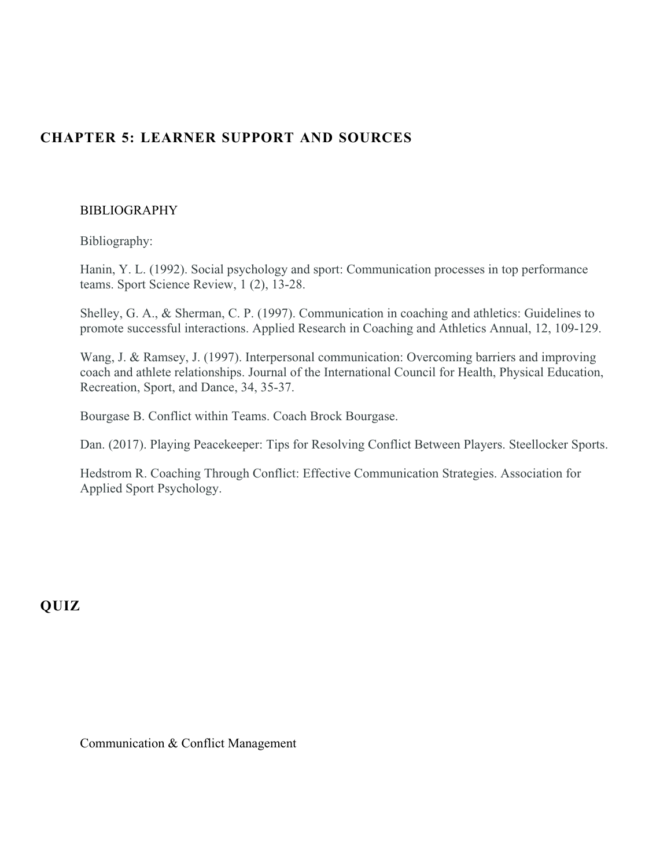# **CHAPTER 5: LEARNER SUPPORT AND SOURCES**

#### BIBLIOGRAPHY

Bibliography:

Hanin, Y. L. (1992). Social psychology and sport: Communication processes in top performance teams. Sport Science Review, 1 (2), 13-28.

Shelley, G. A., & Sherman, C. P. (1997). Communication in coaching and athletics: Guidelines to promote successful interactions. Applied Research in Coaching and Athletics Annual, 12, 109-129.

Wang, J. & Ramsey, J. (1997). Interpersonal communication: Overcoming barriers and improving coach and athlete relationships. Journal of the International Council for Health, Physical Education, Recreation, Sport, and Dance, 34, 35-37.

Bourgase B. Conflict within Teams. Coach Brock Bourgase.

Dan. (2017). Playing Peacekeeper: Tips for Resolving Conflict Between Players. Steellocker Sports.

Hedstrom R. Coaching Through Conflict: Effective Communication Strategies. Association for Applied Sport Psychology.

**QUIZ**